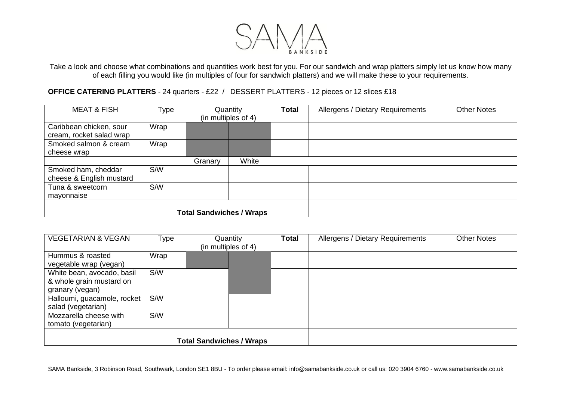

Take a look and choose what combinations and quantities work best for you. For our sandwich and wrap platters simply let us know how many of each filling you would like (in multiples of four for sandwich platters) and we will make these to your requirements.

**OFFICE CATERING PLATTERS** - 24 quarters - £22 / DESSERT PLATTERS - 12 pieces or 12 slices £18

| <b>MEAT &amp; FISH</b>                              | Type       | Quantity<br>(in multiples of 4) |       | <b>Total</b> | Allergens / Dietary Requirements | <b>Other Notes</b> |
|-----------------------------------------------------|------------|---------------------------------|-------|--------------|----------------------------------|--------------------|
| Caribbean chicken, sour<br>cream, rocket salad wrap | Wrap       |                                 |       |              |                                  |                    |
| Smoked salmon & cream<br>cheese wrap                | Wrap       |                                 |       |              |                                  |                    |
|                                                     |            | Granary                         | White |              |                                  |                    |
| Smoked ham, cheddar<br>cheese & English mustard     | S/W        |                                 |       |              |                                  |                    |
| Tuna & sweetcorn<br>mayonnaise                      | <b>S/W</b> |                                 |       |              |                                  |                    |
| <b>Total Sandwiches / Wraps</b>                     |            |                                 |       |              |                                  |                    |

| <b>VEGETARIAN &amp; VEGAN</b>                                             | Type       | Quantity<br>(in multiples of 4) | Total | Allergens / Dietary Requirements | <b>Other Notes</b> |  |
|---------------------------------------------------------------------------|------------|---------------------------------|-------|----------------------------------|--------------------|--|
| Hummus & roasted<br>vegetable wrap (vegan)                                | Wrap       |                                 |       |                                  |                    |  |
| White bean, avocado, basil<br>& whole grain mustard on<br>granary (vegan) | S/W        |                                 |       |                                  |                    |  |
| Halloumi, guacamole, rocket<br>salad (vegetarian)                         | S/W        |                                 |       |                                  |                    |  |
| Mozzarella cheese with<br>tomato (vegetarian)                             | <b>S/W</b> |                                 |       |                                  |                    |  |
| <b>Total Sandwiches / Wraps</b>                                           |            |                                 |       |                                  |                    |  |

SAMA Bankside, 3 Robinson Road, Southwark, London SE1 8BU - To order please email: info@samabankside.co.uk or call us: 020 3904 6760 - www.samabankside.co.uk